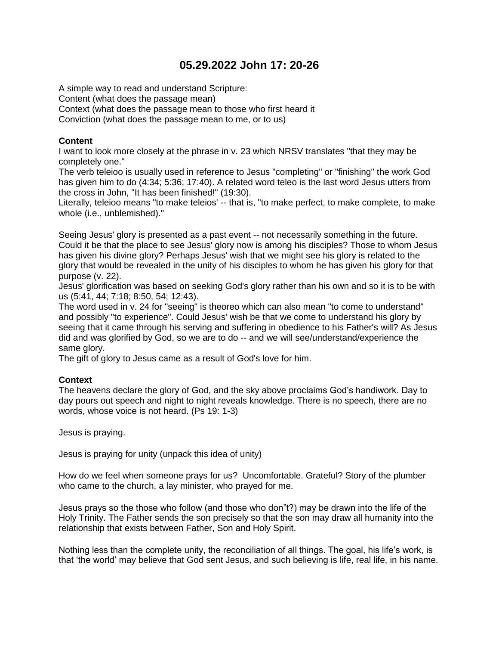# **05.29.2022 John 17: 20-26**

A simple way to read and understand Scripture: Content (what does the passage mean) Context (what does the passage mean to those who first heard it Conviction (what does the passage mean to me, or to us)

## **Content**

I want to look more closely at the phrase in v. 23 which NRSV translates "that they may be completely one."

The verb teleioo is usually used in reference to Jesus "completing" or "finishing" the work God has given him to do (4:34; 5:36; 17:40). A related word teleo is the last word Jesus utters from the cross in John, "It has been finished!" (19:30).

Literally, teleioo means "to make teleios' -- that is, "to make perfect, to make complete, to make whole (i.e., unblemished)."

Seeing Jesus' glory is presented as a past event -- not necessarily something in the future. Could it be that the place to see Jesus' glory now is among his disciples? Those to whom Jesus has given his divine glory? Perhaps Jesus' wish that we might see his glory is related to the glory that would be revealed in the unity of his disciples to whom he has given his glory for that purpose (v. 22).

Jesus' glorification was based on seeking God's glory rather than his own and so it is to be with us (5:41, 44; 7:18; 8:50, 54; 12:43).

The word used in v. 24 for "seeing" is theoreo which can also mean "to come to understand" and possibly "to experience". Could Jesus' wish be that we come to understand his glory by seeing that it came through his serving and suffering in obedience to his Father's will? As Jesus did and was glorified by God, so we are to do -- and we will see/understand/experience the same glory.

The gift of glory to Jesus came as a result of God's love for him.

#### **Context**

The heavens declare the glory of God, and the sky above proclaims God's handiwork. Day to day pours out speech and night to night reveals knowledge. There is no speech, there are no words, whose voice is not heard. (Ps 19: 1-3)

Jesus is praying.

Jesus is praying for unity (unpack this idea of unity)

How do we feel when someone prays for us? Uncomfortable. Grateful? Story of the plumber who came to the church, a lay minister, who prayed for me.

Jesus prays so the those who follow (and those who don"t?) may be drawn into the life of the Holy Trinity. The Father sends the son precisely so that the son may draw all humanity into the relationship that exists between Father, Son and Holy Spirit.

Nothing less than the complete unity, the reconciliation of all things. The goal, his life's work, is that 'the world' may believe that God sent Jesus, and such believing is life, real life, in his name.